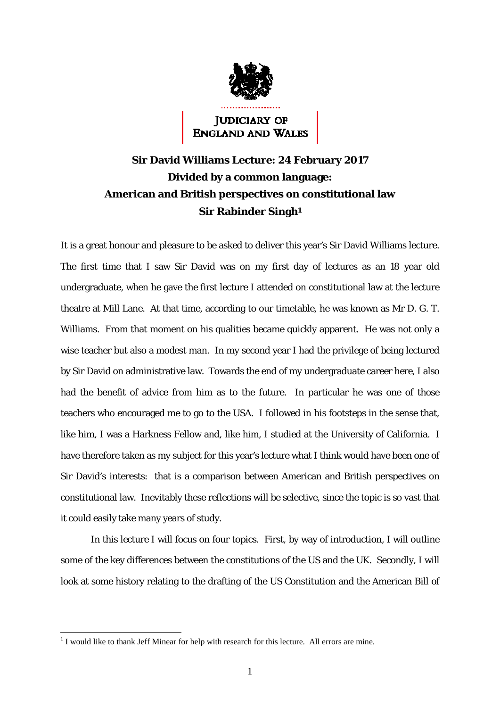

**JUDICIARY OF ENGLAND AND WALES** 

# **Sir David Williams Lecture: 24 February 2017 Divided by a common language: American and British perspectives on constitutional law Sir Rabinder Singh1**

 The first time that I saw Sir David was on my first day of lectures as an 18 year old theatre at Mill Lane. At that time, according to our timetable, he was known as Mr D. G. T. Williams. From that moment on his qualities became quickly apparent. He was not only a by Sir David on administrative law. Towards the end of my undergraduate career here, I also like him, I was a Harkness Fellow and, like him, I studied at the University of California. I it could easily take many years of study. It is a great honour and pleasure to be asked to deliver this year's Sir David Williams lecture. undergraduate, when he gave the first lecture I attended on constitutional law at the lecture wise teacher but also a modest man. In my second year I had the privilege of being lectured had the benefit of advice from him as to the future. In particular he was one of those teachers who encouraged me to go to the USA. I followed in his footsteps in the sense that, have therefore taken as my subject for this year's lecture what I think would have been one of Sir David's interests: that is a comparison between American and British perspectives on constitutional law. Inevitably these reflections will be selective, since the topic is so vast that

In this lecture I will focus on four topics. First, by way of introduction, I will outline some of the key differences between the constitutions of the US and the UK. Secondly, I will look at some history relating to the drafting of the US Constitution and the American Bill of

<sup>&</sup>lt;sup>1</sup> I would like to thank Jeff Minear for help with research for this lecture. All errors are mine.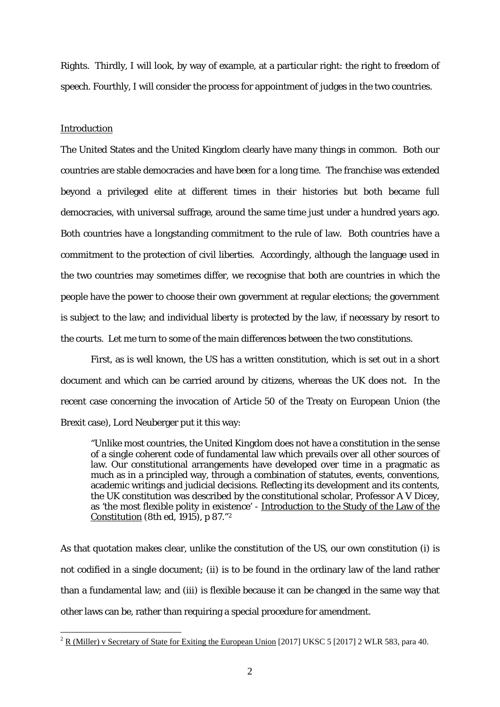Rights. Thirdly, I will look, by way of example, at a particular right: the right to freedom of speech. Fourthly, I will consider the process for appointment of judges in the two countries.

### Introduction

 Both countries have a longstanding commitment to the rule of law. Both countries have a The United States and the United Kingdom clearly have many things in common. Both our countries are stable democracies and have been for a long time. The franchise was extended beyond a privileged elite at different times in their histories but both became full democracies, with universal suffrage, around the same time just under a hundred years ago. commitment to the protection of civil liberties. Accordingly, although the language used in the two countries may sometimes differ, we recognise that both are countries in which the people have the power to choose their own government at regular elections; the government is subject to the law; and individual liberty is protected by the law, if necessary by resort to the courts. Let me turn to some of the main differences between the two constitutions.

First, as is well known, the US has a written constitution, which is set out in a short document and which can be carried around by citizens, whereas the UK does not. In the recent case concerning the invocation of Article 50 of the Treaty on European Union (the Brexit case), Lord Neuberger put it this way:

"Unlike most countries, the United Kingdom does not have a constitution in the sense of a single coherent code of fundamental law which prevails over all other sources of law. Our constitutional arrangements have developed over time in a pragmatic as much as in a principled way, through a combination of statutes, events, conventions, academic writings and judicial decisions. Reflecting its development and its contents, the UK constitution was described by the constitutional scholar, Professor A V Dicey, as 'the most flexible polity in existence' - Introduction to the Study of the Law of the Constitution (8th ed, 1915), p 87."2

As that quotation makes clear, unlike the constitution of the US, our own constitution (i) is not codified in a single document; (ii) is to be found in the ordinary law of the land rather than a fundamental law; and (iii) is flexible because it can be changed in the same way that other laws can be, rather than requiring a special procedure for amendment.

 $\frac{1}{2}$  R (Miller) v Secretary of State for Exiting the European Union [2017] UKSC 5 [2017] 2 WLR 583, para 40.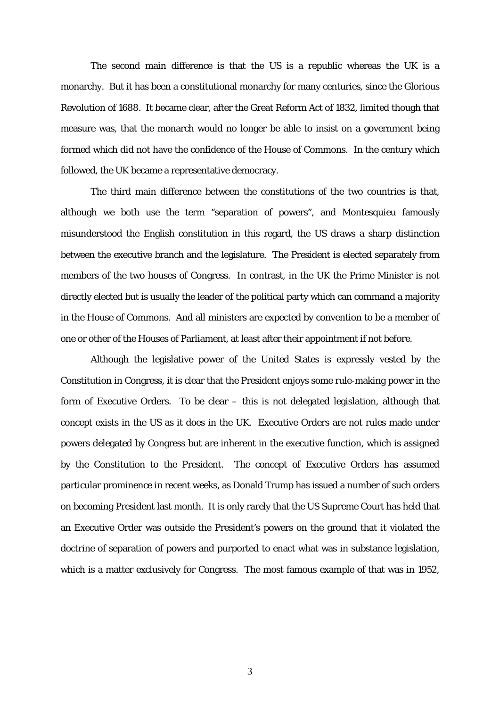The second main difference is that the US is a republic whereas the UK is a monarchy. But it has been a constitutional monarchy for many centuries, since the Glorious Revolution of 1688. It became clear, after the Great Reform Act of 1832, limited though that measure was, that the monarch would no longer be able to insist on a government being formed which did not have the confidence of the House of Commons. In the century which followed, the UK became a representative democracy.

The third main difference between the constitutions of the two countries is that, although we both use the term "separation of powers", and Montesquieu famously misunderstood the English constitution in this regard, the US draws a sharp distinction between the executive branch and the legislature. The President is elected separately from members of the two houses of Congress. In contrast, in the UK the Prime Minister is not directly elected but is usually the leader of the political party which can command a majority in the House of Commons. And all ministers are expected by convention to be a member of one or other of the Houses of Parliament, at least after their appointment if not before.

 concept exists in the US as it does in the UK. Executive Orders are not rules made under Although the legislative power of the United States is expressly vested by the Constitution in Congress, it is clear that the President enjoys some rule-making power in the form of Executive Orders. To be clear – this is not delegated legislation, although that powers delegated by Congress but are inherent in the executive function, which is assigned by the Constitution to the President. The concept of Executive Orders has assumed particular prominence in recent weeks, as Donald Trump has issued a number of such orders on becoming President last month. It is only rarely that the US Supreme Court has held that an Executive Order was outside the President's powers on the ground that it violated the doctrine of separation of powers and purported to enact what was in substance legislation, which is a matter exclusively for Congress. The most famous example of that was in 1952,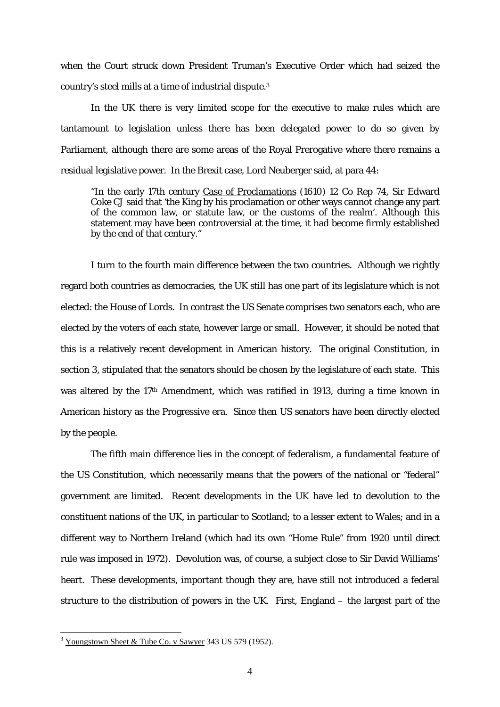when the Court struck down President Truman's Executive Order which had seized the country's steel mills at a time of industrial dispute.3

In the UK there is very limited scope for the executive to make rules which are tantamount to legislation unless there has been delegated power to do so given by Parliament, although there are some areas of the Royal Prerogative where there remains a residual legislative power. In the Brexit case, Lord Neuberger said, at para 44:

 statement may have been controversial at the time, it had become firmly established "In the early 17th century Case of Proclamations (1610) 12 Co Rep 74, Sir Edward Coke CJ said that 'the King by his proclamation or other ways cannot change any part of the common law, or statute law, or the customs of the realm'. Although this by the end of that century."

 American history as the Progressive era. Since then US senators have been directly elected I turn to the fourth main difference between the two countries. Although we rightly regard both countries as democracies, the UK still has one part of its legislature which is not elected: the House of Lords. In contrast the US Senate comprises two senators each, who are elected by the voters of each state, however large or small. However, it should be noted that this is a relatively recent development in American history. The original Constitution, in section 3, stipulated that the senators should be chosen by the legislature of each state. This was altered by the 17th Amendment, which was ratified in 1913, during a time known in by the people.

 government are limited. Recent developments in the UK have led to devolution to the The fifth main difference lies in the concept of federalism, a fundamental feature of the US Constitution, which necessarily means that the powers of the national or "federal" constituent nations of the UK, in particular to Scotland; to a lesser extent to Wales; and in a different way to Northern Ireland (which had its own "Home Rule" from 1920 until direct rule was imposed in 1972). Devolution was, of course, a subject close to Sir David Williams' heart. These developments, important though they are, have still not introduced a federal structure to the distribution of powers in the UK. First, England – the largest part of the

 $3 \text{ Youngstown Sheet} \& \text{Tube Co. v Sawyer}$  343 US 579 (1952).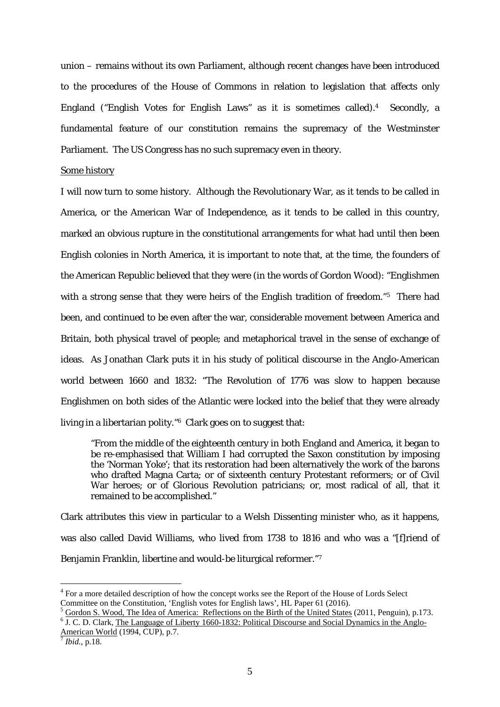union – remains without its own Parliament, although recent changes have been introduced to the procedures of the House of Commons in relation to legislation that affects only England ("English Votes for English Laws" as it is sometimes called).4 Secondly, a fundamental feature of our constitution remains the supremacy of the Westminster Parliament. The US Congress has no such supremacy even in theory.

#### Some history

 I will now turn to some history. Although the Revolutionary War, as it tends to be called in been, and continued to be even after the war, considerable movement between America and America, or the American War of Independence, as it tends to be called in this country, marked an obvious rupture in the constitutional arrangements for what had until then been English colonies in North America, it is important to note that, at the time, the founders of the American Republic believed that they were (in the words of Gordon Wood): "Englishmen with a strong sense that they were heirs of the English tradition of freedom."5 There had Britain, both physical travel of people; and metaphorical travel in the sense of exchange of ideas. As Jonathan Clark puts it in his study of political discourse in the Anglo-American world between 1660 and 1832: "The Revolution of 1776 was slow to happen because Englishmen on both sides of the Atlantic were locked into the belief that they were already living in a libertarian polity."6 Clark goes on to suggest that:

remained to be accomplished." "From the middle of the eighteenth century in both England and America, it began to be re-emphasised that William I had corrupted the Saxon constitution by imposing the 'Norman Yoke'; that its restoration had been alternatively the work of the barons who drafted Magna Carta; or of sixteenth century Protestant reformers; or of Civil War heroes; or of Glorious Revolution patricians; or, most radical of all, that it

Clark attributes this view in particular to a Welsh Dissenting minister who, as it happens, was also called David Williams, who lived from 1738 to 1816 and who was a "[f]riend of Benjamin Franklin, libertine and would-be liturgical reformer."7

 Committee on the Constitution, 'English votes for English laws', HL Paper 61 (2016). <sup>4</sup> For a more detailed description of how the concept works see the Report of the House of Lords Select

<sup>5</sup> Gordon S. Wood, The Idea of America: Reflections on the Birth of the United States (2011, Penguin), p.173.

<sup>&</sup>lt;sup>6</sup> J. C. D. Clark, The Language of Liberty 1660-1832: Political Discourse and Social Dynamics in the Anglo-

American World (1994, CUP), p.7. <sup>7</sup>*Ibid.*, p.18.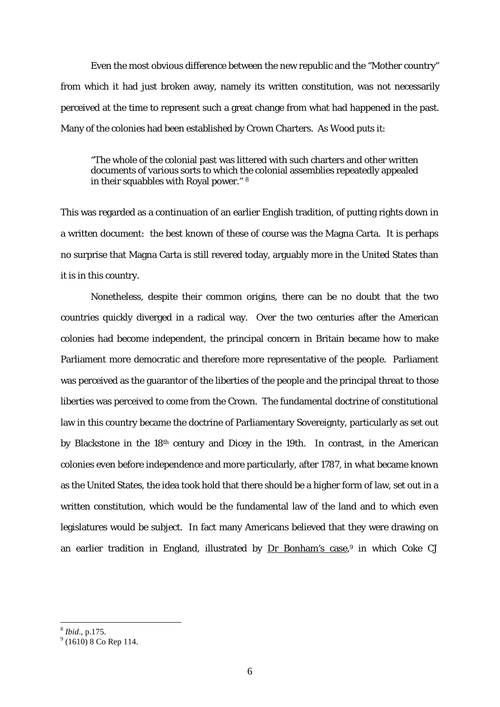perceived at the time to represent such a great change from what had happened in the past.<br>Many of the colonies had been established by Crown Charters. As Wood puts it: Even the most obvious difference between the new republic and the "Mother country" from which it had just broken away, namely its written constitution, was not necessarily

"The whole of the colonial past was littered with such charters and other written documents of various sorts to which the colonial assemblies repeatedly appealed in their squabbles with Royal power." 8

This was regarded as a continuation of an earlier English tradition, of putting rights down in a written document: the best known of these of course was the Magna Carta. It is perhaps no surprise that Magna Carta is still revered today, arguably more in the United States than it is in this country.

Nonetheless, despite their common origins, there can be no doubt that the two countries quickly diverged in a radical way. Over the two centuries after the American colonies had become independent, the principal concern in Britain became how to make Parliament more democratic and therefore more representative of the people. Parliament was perceived as the guarantor of the liberties of the people and the principal threat to those liberties was perceived to come from the Crown. The fundamental doctrine of constitutional law in this country became the doctrine of Parliamentary Sovereignty, particularly as set out by Blackstone in the 18th century and Dicey in the 19th. In contrast, in the American colonies even before independence and more particularly, after 1787, in what became known as the United States, the idea took hold that there should be a higher form of law, set out in a written constitution, which would be the fundamental law of the land and to which even legislatures would be subject. In fact many Americans believed that they were drawing on an earlier tradition in England, illustrated by Dr Bonham's case,<sup>9</sup> in which Coke CJ

<u>.</u>

 $^{8}$ *Ibid.*, p.175.

 $^{9}$  (1610) 8 Co Rep 114.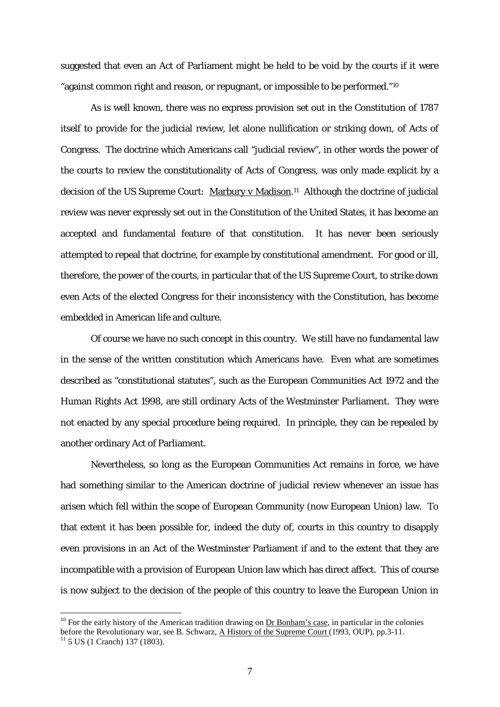suggested that even an Act of Parliament might be held to be void by the courts if it were "against common right and reason, or repugnant, or impossible to be performed."10

 review was never expressly set out in the Constitution of the United States, it has become an As is well known, there was no express provision set out in the Constitution of 1787 itself to provide for the judicial review, let alone nullification or striking down, of Acts of Congress. The doctrine which Americans call "judicial review", in other words the power of the courts to review the constitutionality of Acts of Congress, was only made explicit by a decision of the US Supreme Court: Marbury v Madison.<sup>11</sup> Although the doctrine of judicial accepted and fundamental feature of that constitution. It has never been seriously attempted to repeal that doctrine, for example by constitutional amendment. For good or ill, therefore, the power of the courts, in particular that of the US Supreme Court, to strike down even Acts of the elected Congress for their inconsistency with the Constitution, has become embedded in American life and culture.

Of course we have no such concept in this country. We still have no fundamental law in the sense of the written constitution which Americans have. Even what are sometimes described as "constitutional statutes", such as the European Communities Act 1972 and the Human Rights Act 1998, are still ordinary Acts of the Westminster Parliament. They were not enacted by any special procedure being required. In principle, they can be repealed by another ordinary Act of Parliament.

Nevertheless, so long as the European Communities Act remains in force, we have had something similar to the American doctrine of judicial review whenever an issue has arisen which fell within the scope of European Community (now European Union) law. To that extent it has been possible for, indeed the duty of, courts in this country to disapply even provisions in an Act of the Westminster Parliament if and to the extent that they are incompatible with a provision of European Union law which has direct affect. This of course is now subject to the decision of the people of this country to leave the European Union in

<sup>&</sup>lt;sup>10</sup> For the early history of the American tradition drawing on  $Dr$  Bonham's case, in particular in the colonies before the Revolutionary war, see B. Schwarz, <u>A History of the Supreme Court (</u>1993, OUP), pp.3-11.<br><sup>11</sup> 5 US (1 Cranch) 137 (1803).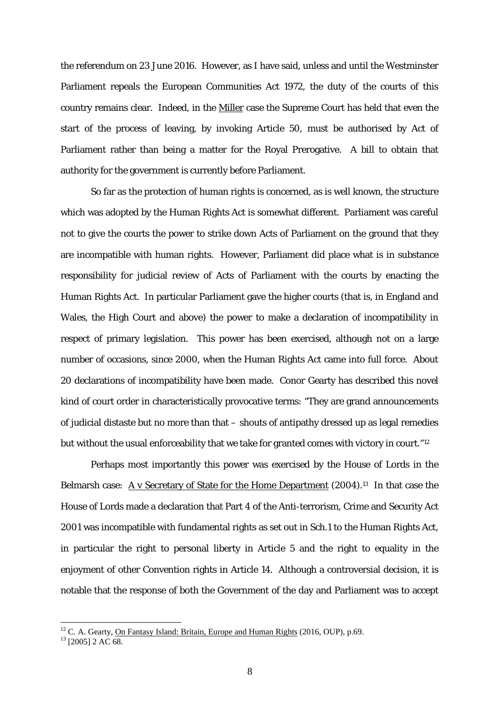the referendum on 23 June 2016. However, as I have said, unless and until the Westminster Parliament repeals the European Communities Act 1972, the duty of the courts of this country remains clear. Indeed, in the Miller case the Supreme Court has held that even the start of the process of leaving, by invoking Article 50, must be authorised by Act of Parliament rather than being a matter for the Royal Prerogative. A bill to obtain that authority for the government is currently before Parliament.

So far as the protection of human rights is concerned, as is well known, the structure which was adopted by the Human Rights Act is somewhat different. Parliament was careful not to give the courts the power to strike down Acts of Parliament on the ground that they are incompatible with human rights. However, Parliament did place what is in substance responsibility for judicial review of Acts of Parliament with the courts by enacting the Human Rights Act. In particular Parliament gave the higher courts (that is, in England and Wales, the High Court and above) the power to make a declaration of incompatibility in respect of primary legislation. This power has been exercised, although not on a large number of occasions, since 2000, when the Human Rights Act came into full force. About 20 declarations of incompatibility have been made. Conor Gearty has described this novel kind of court order in characteristically provocative terms: "They are grand announcements of judicial distaste but no more than that – shouts of antipathy dressed up as legal remedies but without the usual enforceability that we take for granted comes with victory in court."<sup>12</sup>

Perhaps most importantly this power was exercised by the House of Lords in the Belmarsh case:  $\underline{A}$  v Secretary of State for the Home Department (2004).<sup>13</sup> In that case the House of Lords made a declaration that Part 4 of the Anti-terrorism, Crime and Security Act 2001 was incompatible with fundamental rights as set out in Sch.1 to the Human Rights Act, in particular the right to personal liberty in Article 5 and the right to equality in the enjoyment of other Convention rights in Article 14. Although a controversial decision, it is notable that the response of both the Government of the day and Parliament was to accept

<u>.</u>

<sup>&</sup>lt;sup>12</sup> C. A. Gearty, On Fantasy Island: Britain, Europe and Human Rights (2016, OUP), p.69.

 $13$  [2005] 2 AC 68.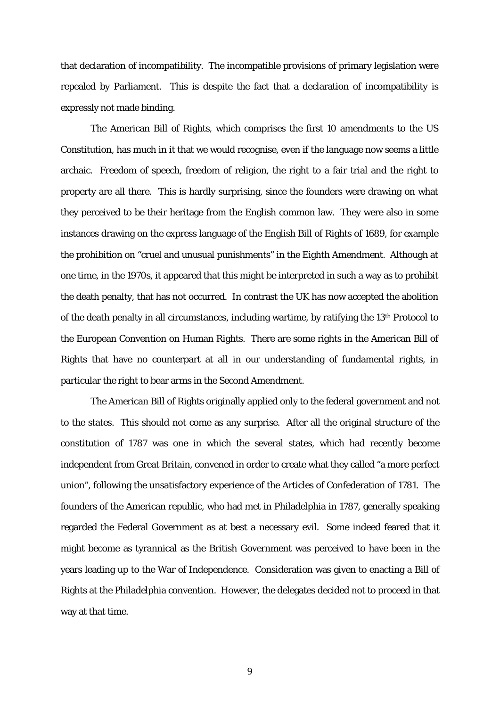that declaration of incompatibility. The incompatible provisions of primary legislation were repealed by Parliament. This is despite the fact that a declaration of incompatibility is expressly not made binding.

The American Bill of Rights, which comprises the first 10 amendments to the US Constitution, has much in it that we would recognise, even if the language now seems a little archaic. Freedom of speech, freedom of religion, the right to a fair trial and the right to property are all there. This is hardly surprising, since the founders were drawing on what they perceived to be their heritage from the English common law. They were also in some instances drawing on the express language of the English Bill of Rights of 1689, for example the prohibition on "cruel and unusual punishments" in the Eighth Amendment. Although at one time, in the 1970s, it appeared that this might be interpreted in such a way as to prohibit the death penalty, that has not occurred. In contrast the UK has now accepted the abolition of the death penalty in all circumstances, including wartime, by ratifying the 13th Protocol to the European Convention on Human Rights. There are some rights in the American Bill of Rights that have no counterpart at all in our understanding of fundamental rights, in particular the right to bear arms in the Second Amendment.

 way at that time. The American Bill of Rights originally applied only to the federal government and not to the states. This should not come as any surprise. After all the original structure of the constitution of 1787 was one in which the several states, which had recently become independent from Great Britain, convened in order to create what they called "a more perfect union", following the unsatisfactory experience of the Articles of Confederation of 1781. The founders of the American republic, who had met in Philadelphia in 1787, generally speaking regarded the Federal Government as at best a necessary evil. Some indeed feared that it might become as tyrannical as the British Government was perceived to have been in the years leading up to the War of Independence. Consideration was given to enacting a Bill of Rights at the Philadelphia convention. However, the delegates decided not to proceed in that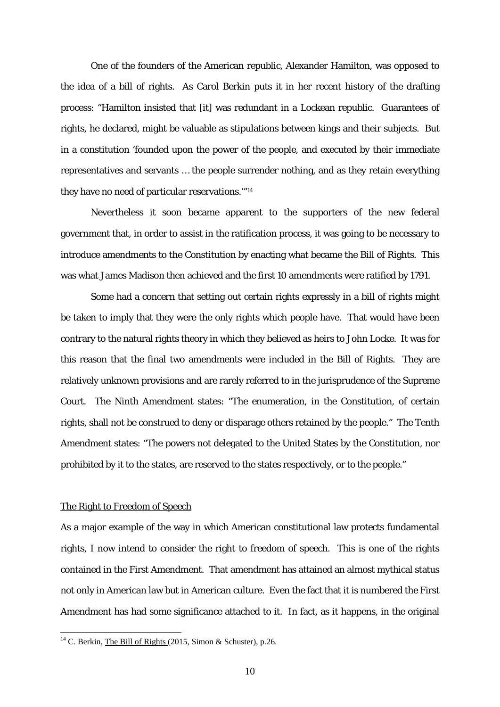One of the founders of the American republic, Alexander Hamilton, was opposed to the idea of a bill of rights. As Carol Berkin puts it in her recent history of the drafting process: "Hamilton insisted that [it] was redundant in a Lockean republic. Guarantees of rights, he declared, might be valuable as stipulations between kings and their subjects. But in a constitution 'founded upon the power of the people, and executed by their immediate representatives and servants … the people surrender nothing, and as they retain everything they have no need of particular reservations.'"14

Nevertheless it soon became apparent to the supporters of the new federal government that, in order to assist in the ratification process, it was going to be necessary to introduce amendments to the Constitution by enacting what became the Bill of Rights. This was what James Madison then achieved and the first 10 amendments were ratified by 1791.

 be taken to imply that they were the only rights which people have. That would have been Some had a concern that setting out certain rights expressly in a bill of rights might contrary to the natural rights theory in which they believed as heirs to John Locke. It was for this reason that the final two amendments were included in the Bill of Rights. They are relatively unknown provisions and are rarely referred to in the jurisprudence of the Supreme Court. The Ninth Amendment states: "The enumeration, in the Constitution, of certain rights, shall not be construed to deny or disparage others retained by the people." The Tenth Amendment states: "The powers not delegated to the United States by the Constitution, nor prohibited by it to the states, are reserved to the states respectively, or to the people."

# The Right to Freedom of Speech

1

 As a major example of the way in which American constitutional law protects fundamental rights, I now intend to consider the right to freedom of speech. This is one of the rights contained in the First Amendment. That amendment has attained an almost mythical status not only in American law but in American culture. Even the fact that it is numbered the First Amendment has had some significance attached to it. In fact, as it happens, in the original

<sup>&</sup>lt;sup>14</sup> C. Berkin, The Bill of Rights (2015, Simon & Schuster), p.26.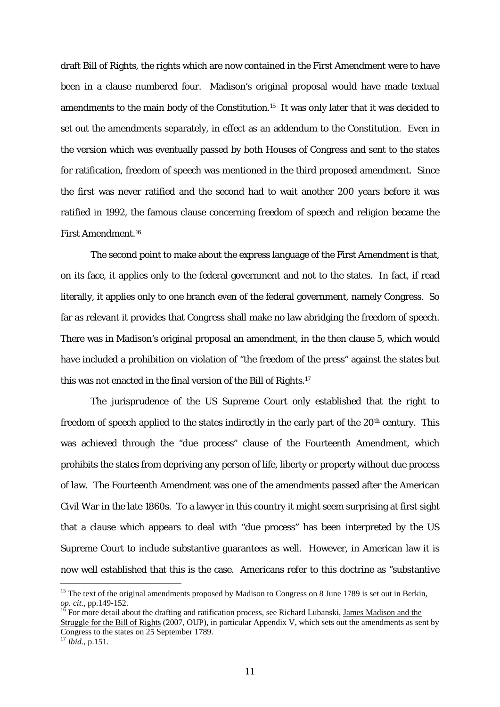draft Bill of Rights, the rights which are now contained in the First Amendment were to have been in a clause numbered four. Madison's original proposal would have made textual amendments to the main body of the Constitution.15 It was only later that it was decided to set out the amendments separately, in effect as an addendum to the Constitution. Even in the version which was eventually passed by both Houses of Congress and sent to the states for ratification, freedom of speech was mentioned in the third proposed amendment. Since the first was never ratified and the second had to wait another 200 years before it was ratified in 1992, the famous clause concerning freedom of speech and religion became the First Amendment.16

 far as relevant it provides that Congress shall make no law abridging the freedom of speech. The second point to make about the express language of the First Amendment is that, on its face, it applies only to the federal government and not to the states. In fact, if read literally, it applies only to one branch even of the federal government, namely Congress. So There was in Madison's original proposal an amendment, in the then clause 5, which would have included a prohibition on violation of "the freedom of the press" against the states but this was not enacted in the final version of the Bill of Rights.17

 Supreme Court to include substantive guarantees as well. However, in American law it is The jurisprudence of the US Supreme Court only established that the right to freedom of speech applied to the states indirectly in the early part of the  $20<sup>th</sup>$  century. This was achieved through the "due process" clause of the Fourteenth Amendment, which prohibits the states from depriving any person of life, liberty or property without due process of law. The Fourteenth Amendment was one of the amendments passed after the American Civil War in the late 1860s. To a lawyer in this country it might seem surprising at first sight that a clause which appears to deal with "due process" has been interpreted by the US now well established that this is the case. Americans refer to this doctrine as "substantive

<sup>&</sup>lt;sup>15</sup> The text of the original amendments proposed by Madison to Congress on 8 June 1789 is set out in Berkin, *op. cit.* **pp.** 149-152.

Struggle for the Bill of Rights (2007, OUP), in particular Appendix V, which sets out the amendments as sent by Congress to the states on 25 September 1789. <sup>16</sup> For more detail about the drafting and ratification process, see Richard Lubanski, <u>James Madison and the</u>

<sup>17</sup>*Ibid.*, p.151.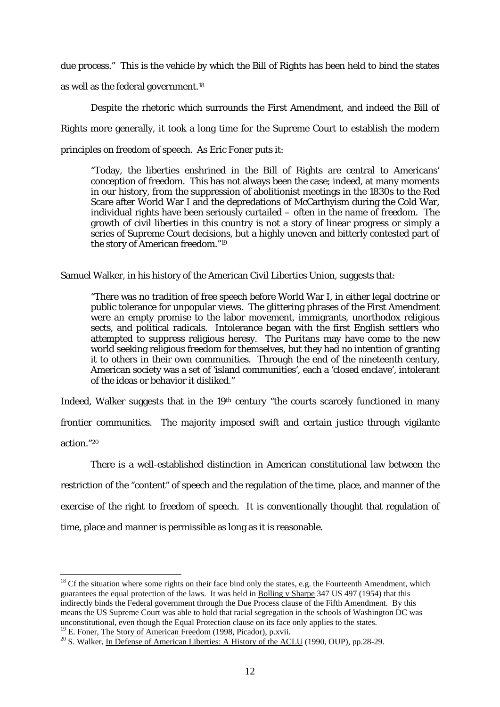due process." This is the vehicle by which the Bill of Rights has been held to bind the states as well as the federal government.18

Despite the rhetoric which surrounds the First Amendment, and indeed the Bill of Rights more generally, it took a long time for the Supreme Court to establish the modern principles on freedom of speech. As Eric Foner puts it:

"Today, the liberties enshrined in the Bill of Rights are central to Americans' conception of freedom. This has not always been the case; indeed, at many moments in our history, from the suppression of abolitionist meetings in the 1830s to the Red Scare after World War I and the depredations of McCarthyism during the Cold War, individual rights have been seriously curtailed – often in the name of freedom. The growth of civil liberties in this country is not a story of linear progress or simply a series of Supreme Court decisions, but a highly uneven and bitterly contested part of the story of American freedom."19

Samuel Walker, in his history of the American Civil Liberties Union, suggests that:

"There was no tradition of free speech before World War I, in either legal doctrine or public tolerance for unpopular views. The glittering phrases of the First Amendment were an empty promise to the labor movement, immigrants, unorthodox religious sects, and political radicals. Intolerance began with the first English settlers who attempted to suppress religious heresy. The Puritans may have come to the new world seeking religious freedom for themselves, but they had no intention of granting it to others in their own communities. Through the end of the nineteenth century, American society was a set of 'island communities', each a 'closed enclave', intolerant of the ideas or behavior it disliked."

Indeed, Walker suggests that in the 19<sup>th</sup> century "the courts scarcely functioned in many

frontier communities. The majority imposed swift and certain justice through vigilante

action."20

1

There is a well-established distinction in American constitutional law between the restriction of the "content" of speech and the regulation of the time, place, and manner of the exercise of the right to freedom of speech. It is conventionally thought that regulation of time, place and manner is permissible as long as it is reasonable.

guarantees the equal protection of the laws. It was held in Bolling v Sharpe 347 US 497 (1954) that this  $18$  Cf the situation where some rights on their face bind only the states, e.g. the Fourteenth Amendment, which indirectly binds the Federal government through the Due Process clause of the Fifth Amendment. By this means the US Supreme Court was able to hold that racial segregation in the schools of Washington DC was unconstitutional, even though the Equal Protection clause on its face only applies to the states.<br><sup>19</sup> E. Foner, <u>The Story of American Freedom</u> (1998, Picador), p.xvii.

<sup>&</sup>lt;sup>19</sup> E. Foner, <u>The Story of American Freedom</u> (1998, Picador), p.xvii.<br><sup>20</sup> S. Walker, <u>In Defense of American Liberties: A History of the ACLU</u> (1990, OUP), pp.28-29.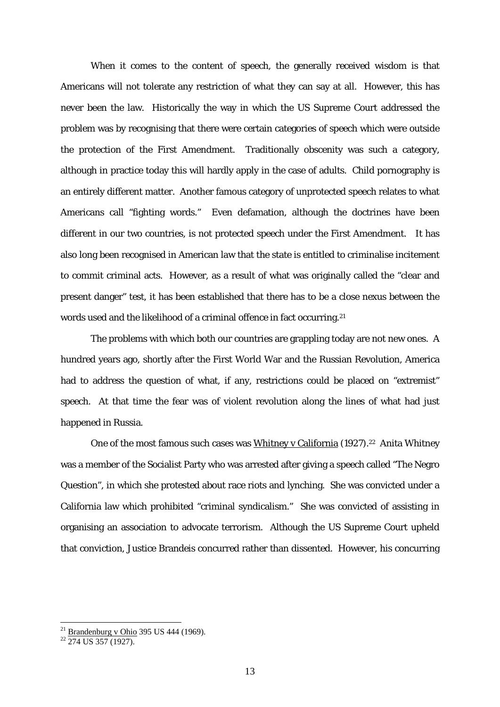never been the law. Historically the way in which the US Supreme Court addressed the words used and the likelihood of a criminal offence in fact occurring.<sup>21</sup> When it comes to the content of speech, the generally received wisdom is that Americans will not tolerate any restriction of what they can say at all. However, this has problem was by recognising that there were certain categories of speech which were outside the protection of the First Amendment. Traditionally obscenity was such a category, although in practice today this will hardly apply in the case of adults. Child pornography is an entirely different matter. Another famous category of unprotected speech relates to what Americans call "fighting words." Even defamation, although the doctrines have been different in our two countries, is not protected speech under the First Amendment. It has also long been recognised in American law that the state is entitled to criminalise incitement to commit criminal acts. However, as a result of what was originally called the "clear and present danger" test, it has been established that there has to be a close nexus between the

 The problems with which both our countries are grappling today are not new ones. A hundred years ago, shortly after the First World War and the Russian Revolution, America had to address the question of what, if any, restrictions could be placed on "extremist" speech. At that time the fear was of violent revolution along the lines of what had just happened in Russia.

 that conviction, Justice Brandeis concurred rather than dissented. However, his concurring One of the most famous such cases was Whitney v California (1927).<sup>22</sup> Anita Whitney was a member of the Socialist Party who was arrested after giving a speech called "The Negro Question", in which she protested about race riots and lynching. She was convicted under a California law which prohibited "criminal syndicalism." She was convicted of assisting in organising an association to advocate terrorism. Although the US Supreme Court upheld

<u>.</u>

 $\frac{21}{22}$  Brandenburg v Ohio 395 US 444 (1969).<br> $\frac{22}{274}$  US 357 (1927).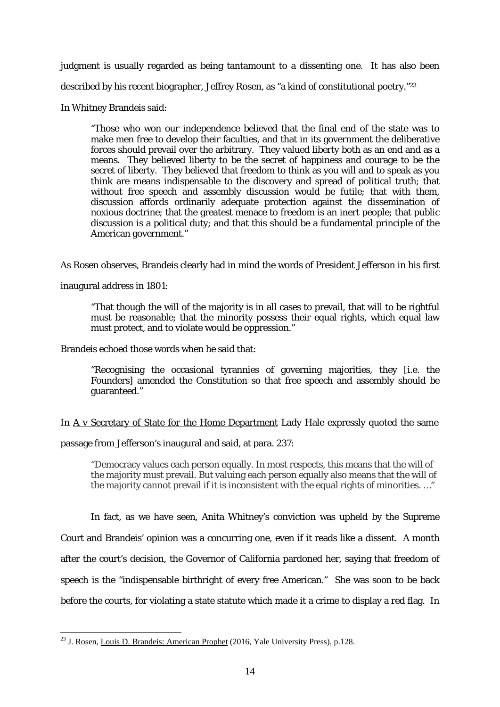described by his recent biographer, Jeffrey Rosen, as "a kind of constitutional poetry."23 judgment is usually regarded as being tantamount to a dissenting one. It has also been

In Whitney Brandeis said:

"Those who won our independence believed that the final end of the state was to make men free to develop their faculties, and that in its government the deliberative forces should prevail over the arbitrary. They valued liberty both as an end and as a means. They believed liberty to be the secret of happiness and courage to be the secret of liberty. They believed that freedom to think as you will and to speak as you think are means indispensable to the discovery and spread of political truth; that without free speech and assembly discussion would be futile; that with them, discussion affords ordinarily adequate protection against the dissemination of noxious doctrine; that the greatest menace to freedom is an inert people; that public discussion is a political duty; and that this should be a fundamental principle of the American government."

As Rosen observes, Brandeis clearly had in mind the words of President Jefferson in his first

inaugural address in 1801:

1

"That though the will of the majority is in all cases to prevail, that will to be rightful must be reasonable; that the minority possess their equal rights, which equal law must protect, and to violate would be oppression."

Brandeis echoed those words when he said that:

"Recognising the occasional tyrannies of governing majorities, they [i.e. the Founders] amended the Constitution so that free speech and assembly should be guaranteed."

In A v Secretary of State for the Home Department Lady Hale expressly quoted the same

passage from Jefferson's inaugural and said, at para. 237:

"Democracy values each person equally. In most respects, this means that the will of the majority must prevail. But valuing each person equally also means that the will of the majority cannot prevail if it is inconsistent with the equal rights of minorities. …"

In fact, as we have seen, Anita Whitney's conviction was upheld by the Supreme Court and Brandeis' opinion was a concurring one, even if it reads like a dissent. A month after the court's decision, the Governor of California pardoned her, saying that freedom of speech is the "indispensable birthright of every free American." She was soon to be back before the courts, for violating a state statute which made it a crime to display a red flag. In

<sup>&</sup>lt;sup>23</sup> J. Rosen, Louis D. Brandeis: American Prophet (2016, Yale University Press), p.128.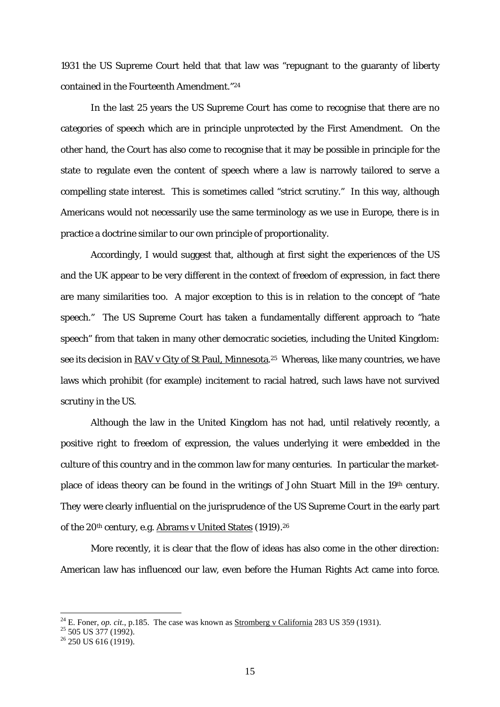1931 the US Supreme Court held that that law was "repugnant to the guaranty of liberty contained in the Fourteenth Amendment."24

In the last 25 years the US Supreme Court has come to recognise that there are no categories of speech which are in principle unprotected by the First Amendment. On the other hand, the Court has also come to recognise that it may be possible in principle for the state to regulate even the content of speech where a law is narrowly tailored to serve a compelling state interest. This is sometimes called "strict scrutiny." In this way, although Americans would not necessarily use the same terminology as we use in Europe, there is in practice a doctrine similar to our own principle of proportionality.

 are many similarities too. A major exception to this is in relation to the concept of "hate speech." The US Supreme Court has taken a fundamentally different approach to "hate Accordingly, I would suggest that, although at first sight the experiences of the US and the UK appear to be very different in the context of freedom of expression, in fact there speech" from that taken in many other democratic societies, including the United Kingdom: see its decision in RAV v City of St Paul, Minnesota.<sup>25</sup> Whereas, like many countries, we have laws which prohibit (for example) incitement to racial hatred, such laws have not survived scrutiny in the US.

place of ideas theory can be found in the writings of John Stuart Mill in the 19th century. Although the law in the United Kingdom has not had, until relatively recently, a positive right to freedom of expression, the values underlying it were embedded in the culture of this country and in the common law for many centuries. In particular the market-They were clearly influential on the jurisprudence of the US Supreme Court in the early part of the 20<sup>th</sup> century, e.g. Abrams v United States (1919).<sup>26</sup>

 More recently, it is clear that the flow of ideas has also come in the other direction: American law has influenced our law, even before the Human Rights Act came into force.

<sup>&</sup>lt;sup>24</sup> E. Foner, *op. cit.*, p.185. The case was known as <u>Stromberg v California</u> 283 US 359 (1931). <sup>25</sup> 505 US 377 (1992).

 $26$  250 US 616 (1919).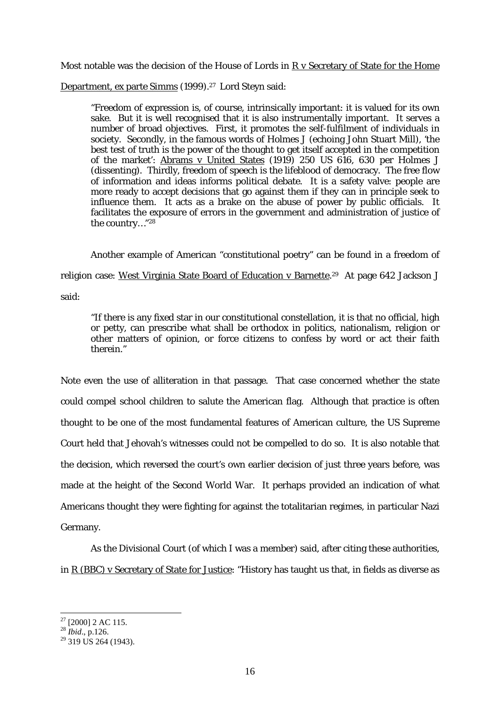Most notable was the decision of the House of Lords in R v Secretary of State for the Home

Department, ex parte Simms (1999).<sup>27</sup> Lord Steyn said:

 of information and ideas informs political debate. It is a safety valve: people are "Freedom of expression is, of course, intrinsically important: it is valued for its own sake. But it is well recognised that it is also instrumentally important. It serves a number of broad objectives. First, it promotes the self-fulfilment of individuals in society. Secondly, in the famous words of Holmes J (echoing John Stuart Mill), 'the best test of truth is the power of the thought to get itself accepted in the competition of the market': Abrams v United States (1919) 250 US 616, 630 per Holmes J (dissenting). Thirdly, freedom of speech is the lifeblood of democracy. The free flow more ready to accept decisions that go against them if they can in principle seek to influence them. It acts as a brake on the abuse of power by public officials. It facilitates the exposure of errors in the government and administration of justice of the country…"28

religion case: West Virginia State Board of Education v Barnette.<sup>29</sup> At page 642 Jackson J Another example of American "constitutional poetry" can be found in a freedom of said:

"If there is any fixed star in our constitutional constellation, it is that no official, high or petty, can prescribe what shall be orthodox in politics, nationalism, religion or other matters of opinion, or force citizens to confess by word or act their faith therein."

Note even the use of alliteration in that passage. That case concerned whether the state could compel school children to salute the American flag. Although that practice is often thought to be one of the most fundamental features of American culture, the US Supreme Court held that Jehovah's witnesses could not be compelled to do so. It is also notable that the decision, which reversed the court's own earlier decision of just three years before, was made at the height of the Second World War. It perhaps provided an indication of what Americans thought they were fighting for against the totalitarian regimes, in particular Nazi Germany.

As the Divisional Court (of which I was a member) said, after citing these authorities, in R (BBC) v Secretary of State for Justice: "History has taught us that, in fields as diverse as

<sup>1</sup>  $27$  [2000] 2 AC 115.

<sup>28</sup>*Ibid*., p.126.

<sup>&</sup>lt;sup>29</sup> 319 US 264 (1943).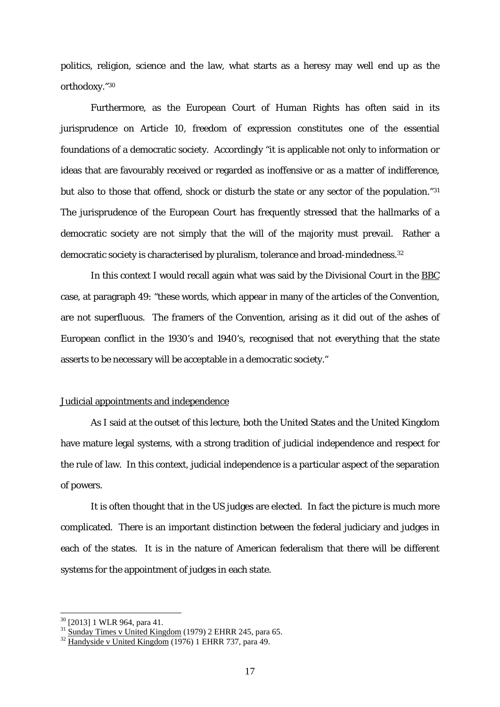politics, religion, science and the law, what starts as a heresy may well end up as the orthodoxy."30

but also to those that offend, shock or disturb the state or any sector of the population."<sup>31</sup> democratic society is characterised by pluralism, tolerance and broad-mindedness.<sup>32</sup> Furthermore, as the European Court of Human Rights has often said in its jurisprudence on Article 10, freedom of expression constitutes one of the essential foundations of a democratic society. Accordingly "it is applicable not only to information or ideas that are favourably received or regarded as inoffensive or as a matter of indifference, The jurisprudence of the European Court has frequently stressed that the hallmarks of a democratic society are not simply that the will of the majority must prevail. Rather a

asserts to be necessary will be acceptable in a democratic society."<br>Judicial appointments and independence In this context I would recall again what was said by the Divisional Court in the BBC case, at paragraph 49: "these words, which appear in many of the articles of the Convention, are not superfluous. The framers of the Convention, arising as it did out of the ashes of European conflict in the 1930's and 1940's, recognised that not everything that the state

As I said at the outset of this lecture, both the United States and the United Kingdom have mature legal systems, with a strong tradition of judicial independence and respect for the rule of law. In this context, judicial independence is a particular aspect of the separation of powers.

 It is often thought that in the US judges are elected. In fact the picture is much more each of the states. It is in the nature of American federalism that there will be different complicated. There is an important distinction between the federal judiciary and judges in systems for the appointment of judges in each state.

<sup>30 [2013] 1</sup> WLR 964, para 41.

 $31 \text{ Sunday Times}$  v United Kingdom (1979) 2 EHRR 245, para 65.<br> $32 \text{ Handbook}$  Handyside v United Kingdom (1976) 1 EHRR 737, para 49.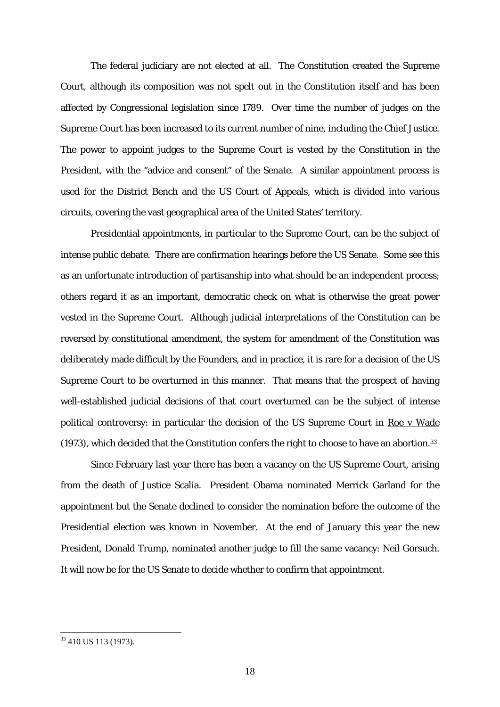The federal judiciary are not elected at all. The Constitution created the Supreme Court, although its composition was not spelt out in the Constitution itself and has been affected by Congressional legislation since 1789. Over time the number of judges on the Supreme Court has been increased to its current number of nine, including the Chief Justice. The power to appoint judges to the Supreme Court is vested by the Constitution in the President, with the "advice and consent" of the Senate. A similar appointment process is used for the District Bench and the US Court of Appeals, which is divided into various circuits, covering the vast geographical area of the United States' territory.

 $(1973)$ , which decided that the Constitution confers the right to choose to have an abortion.<sup>33</sup> Presidential appointments, in particular to the Supreme Court, can be the subject of intense public debate. There are confirmation hearings before the US Senate. Some see this as an unfortunate introduction of partisanship into what should be an independent process; others regard it as an important, democratic check on what is otherwise the great power vested in the Supreme Court. Although judicial interpretations of the Constitution can be reversed by constitutional amendment, the system for amendment of the Constitution was deliberately made difficult by the Founders, and in practice, it is rare for a decision of the US Supreme Court to be overturned in this manner. That means that the prospect of having well-established judicial decisions of that court overturned can be the subject of intense political controversy: in particular the decision of the US Supreme Court in Roe v Wade

 President, Donald Trump, nominated another judge to fill the same vacancy: Neil Gorsuch. Since February last year there has been a vacancy on the US Supreme Court, arising from the death of Justice Scalia. President Obama nominated Merrick Garland for the appointment but the Senate declined to consider the nomination before the outcome of the Presidential election was known in November. At the end of January this year the new It will now be for the US Senate to decide whether to confirm that appointment.

<sup>&</sup>lt;sup>33</sup> 410 US 113 (1973).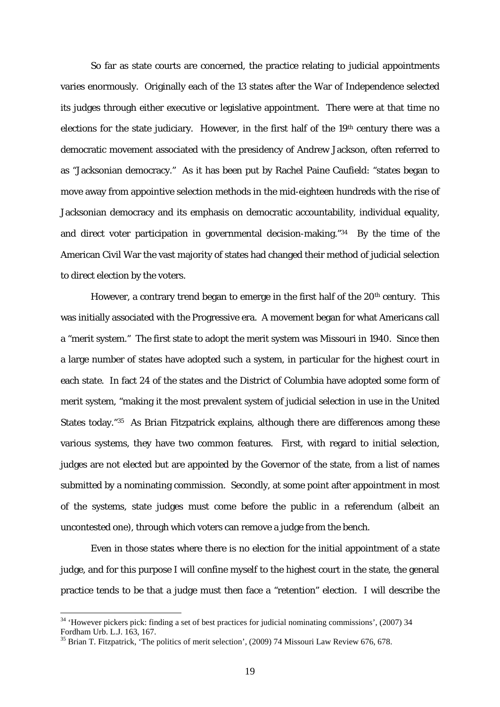as "Jacksonian democracy." As it has been put by Rachel Paine Caufield: "states began to Jacksonian democracy and its emphasis on democratic accountability, individual equality, and direct voter participation in governmental decision-making."34 By the time of the So far as state courts are concerned, the practice relating to judicial appointments varies enormously. Originally each of the 13 states after the War of Independence selected its judges through either executive or legislative appointment. There were at that time no elections for the state judiciary. However, in the first half of the 19<sup>th</sup> century there was a democratic movement associated with the presidency of Andrew Jackson, often referred to move away from appointive selection methods in the mid-eighteen hundreds with the rise of American Civil War the vast majority of states had changed their method of judicial selection to direct election by the voters.

However, a contrary trend began to emerge in the first half of the  $20<sup>th</sup>$  century. This each state. In fact 24 of the states and the District of Columbia have adopted some form of judges are not elected but are appointed by the Governor of the state, from a list of names uncontested one), through which voters can remove a judge from the bench. was initially associated with the Progressive era. A movement began for what Americans call a "merit system." The first state to adopt the merit system was Missouri in 1940. Since then a large number of states have adopted such a system, in particular for the highest court in merit system, "making it the most prevalent system of judicial selection in use in the United States today."35 As Brian Fitzpatrick explains, although there are differences among these various systems, they have two common features. First, with regard to initial selection, submitted by a nominating commission. Secondly, at some point after appointment in most of the systems, state judges must come before the public in a referendum (albeit an

Even in those states where there is no election for the initial appointment of a state judge, and for this purpose I will confine myself to the highest court in the state, the general practice tends to be that a judge must then face a "retention" election. I will describe the

 $34$  'However pickers pick: finding a set of best practices for judicial nominating commissions', (2007) 34 Fordham Urb. L.J. 163, 167.

<sup>&</sup>lt;sup>35</sup> Brian T. Fitzpatrick, 'The politics of merit selection', (2009) 74 Missouri Law Review 676, 678.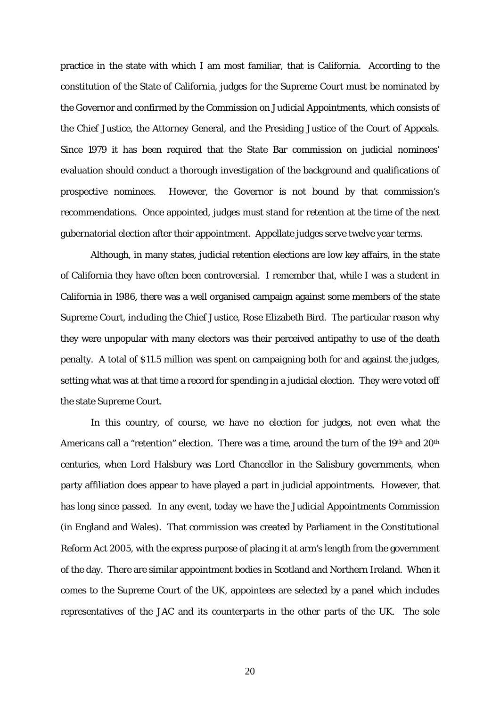the Chief Justice, the Attorney General, and the Presiding Justice of the Court of Appeals. recommendations. Once appointed, judges must stand for retention at the time of the next practice in the state with which I am most familiar, that is California. According to the constitution of the State of California, judges for the Supreme Court must be nominated by the Governor and confirmed by the Commission on Judicial Appointments, which consists of Since 1979 it has been required that the State Bar commission on judicial nominees' evaluation should conduct a thorough investigation of the background and qualifications of prospective nominees. However, the Governor is not bound by that commission's gubernatorial election after their appointment. Appellate judges serve twelve year terms.

 Supreme Court, including the Chief Justice, Rose Elizabeth Bird. The particular reason why the state Supreme Court. Although, in many states, judicial retention elections are low key affairs, in the state of California they have often been controversial. I remember that, while I was a student in California in 1986, there was a well organised campaign against some members of the state they were unpopular with many electors was their perceived antipathy to use of the death penalty. A total of \$11.5 million was spent on campaigning both for and against the judges, setting what was at that time a record for spending in a judicial election. They were voted off

 of the day. There are similar appointment bodies in Scotland and Northern Ireland. When it In this country, of course, we have no election for judges, not even what the Americans call a "retention" election. There was a time, around the turn of the 19<sup>th</sup> and 20<sup>th</sup> centuries, when Lord Halsbury was Lord Chancellor in the Salisbury governments, when party affiliation does appear to have played a part in judicial appointments. However, that has long since passed. In any event, today we have the Judicial Appointments Commission (in England and Wales). That commission was created by Parliament in the Constitutional Reform Act 2005, with the express purpose of placing it at arm's length from the government comes to the Supreme Court of the UK, appointees are selected by a panel which includes representatives of the JAC and its counterparts in the other parts of the UK. The sole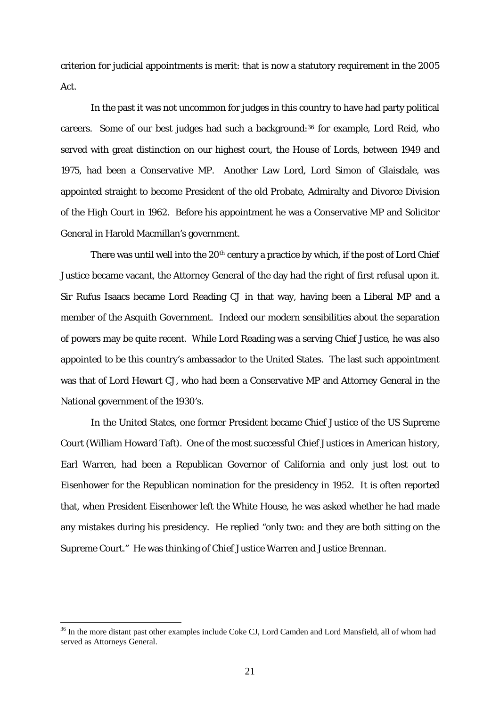criterion for judicial appointments is merit: that is now a statutory requirement in the 2005 Act.

In the past it was not uncommon for judges in this country to have had party political careers. Some of our best judges had such a background:36 for example, Lord Reid, who served with great distinction on our highest court, the House of Lords, between 1949 and 1975, had been a Conservative MP. Another Law Lord, Lord Simon of Glaisdale, was appointed straight to become President of the old Probate, Admiralty and Divorce Division of the High Court in 1962. Before his appointment he was a Conservative MP and Solicitor General in Harold Macmillan's government.

There was until well into the  $20<sup>th</sup>$  century a practice by which, if the post of Lord Chief Justice became vacant, the Attorney General of the day had the right of first refusal upon it. Sir Rufus Isaacs became Lord Reading CJ in that way, having been a Liberal MP and a member of the Asquith Government. Indeed our modern sensibilities about the separation of powers may be quite recent. While Lord Reading was a serving Chief Justice, he was also appointed to be this country's ambassador to the United States. The last such appointment was that of Lord Hewart CJ, who had been a Conservative MP and Attorney General in the National government of the 1930's.

 Supreme Court." He was thinking of Chief Justice Warren and Justice Brennan. In the United States, one former President became Chief Justice of the US Supreme Court (William Howard Taft). One of the most successful Chief Justices in American history, Earl Warren, had been a Republican Governor of California and only just lost out to Eisenhower for the Republican nomination for the presidency in 1952. It is often reported that, when President Eisenhower left the White House, he was asked whether he had made any mistakes during his presidency. He replied "only two: and they are both sitting on the

<u>.</u>

<sup>&</sup>lt;sup>36</sup> In the more distant past other examples include Coke CJ, Lord Camden and Lord Mansfield, all of whom had served as Attorneys General.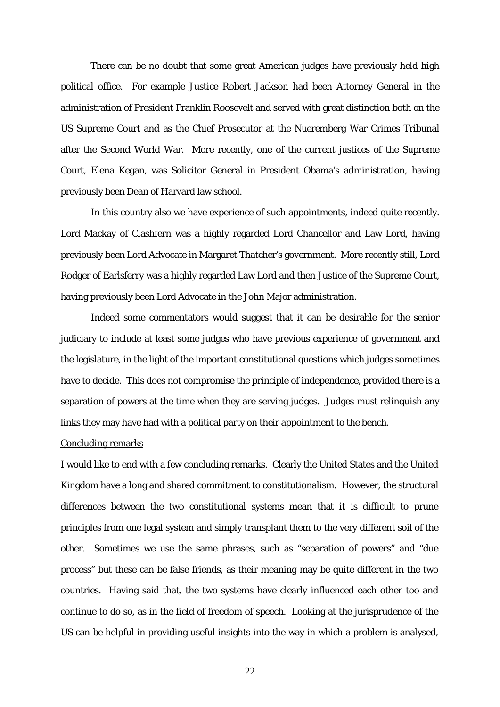There can be no doubt that some great American judges have previously held high political office. For example Justice Robert Jackson had been Attorney General in the administration of President Franklin Roosevelt and served with great distinction both on the US Supreme Court and as the Chief Prosecutor at the Nueremberg War Crimes Tribunal after the Second World War. More recently, one of the current justices of the Supreme Court, Elena Kegan, was Solicitor General in President Obama's administration, having previously been Dean of Harvard law school.

 In this country also we have experience of such appointments, indeed quite recently. Lord Mackay of Clashfern was a highly regarded Lord Chancellor and Law Lord, having previously been Lord Advocate in Margaret Thatcher's government. More recently still, Lord Rodger of Earlsferry was a highly regarded Law Lord and then Justice of the Supreme Court, having previously been Lord Advocate in the John Major administration.

 judiciary to include at least some judges who have previous experience of government and Indeed some commentators would suggest that it can be desirable for the senior the legislature, in the light of the important constitutional questions which judges sometimes have to decide. This does not compromise the principle of independence, provided there is a separation of powers at the time when they are serving judges. Judges must relinquish any links they may have had with a political party on their appointment to the bench.

# Concluding remarks

I would like to end with a few concluding remarks. Clearly the United States and the United Kingdom have a long and shared commitment to constitutionalism. However, the structural differences between the two constitutional systems mean that it is difficult to prune principles from one legal system and simply transplant them to the very different soil of the other. Sometimes we use the same phrases, such as "separation of powers" and "due process" but these can be false friends, as their meaning may be quite different in the two countries. Having said that, the two systems have clearly influenced each other too and continue to do so, as in the field of freedom of speech. Looking at the jurisprudence of the US can be helpful in providing useful insights into the way in which a problem is analysed,